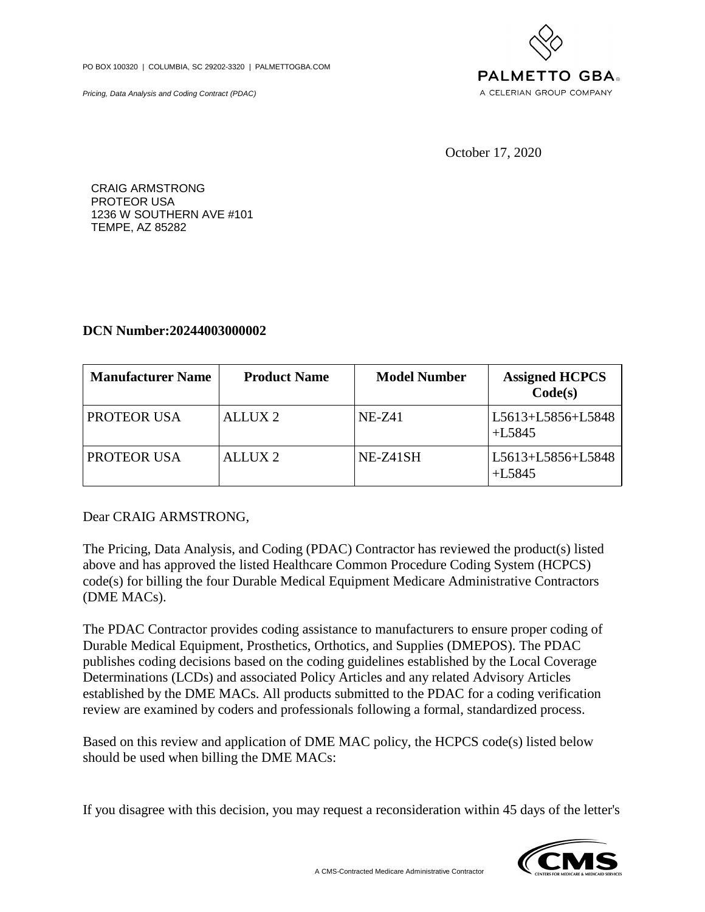PO BOX 100320 | COLUMBIA, SC 29202-3320 | PALMETTOGBA.COM

Pricing, Data Analysis and Coding Contract (PDAC)



October 17, 2020

CRAIG ARMSTRONG PROTEOR USA 1236 W SOUTHERN AVE #101 TEMPE, AZ 85282

## **DCN Number:20244003000002**

| <b>Manufacturer Name</b> | <b>Product Name</b> | <b>Model Number</b> | <b>Assigned HCPCS</b><br>Code(s) |
|--------------------------|---------------------|---------------------|----------------------------------|
| <b>PROTEOR USA</b>       | ALLUX <sub>2</sub>  | $NE-Z41$            | L5613+L5856+L5848<br>$+L5845$    |
| <b>PROTEOR USA</b>       | ALLUX <sub>2</sub>  | NE-Z41SH            | L5613+L5856+L5848<br>$+L5845$    |

Dear CRAIG ARMSTRONG,

The Pricing, Data Analysis, and Coding (PDAC) Contractor has reviewed the product(s) listed above and has approved the listed Healthcare Common Procedure Coding System (HCPCS) code(s) for billing the four Durable Medical Equipment Medicare Administrative Contractors (DME MACs).

The PDAC Contractor provides coding assistance to manufacturers to ensure proper coding of Durable Medical Equipment, Prosthetics, Orthotics, and Supplies (DMEPOS). The PDAC publishes coding decisions based on the coding guidelines established by the Local Coverage Determinations (LCDs) and associated Policy Articles and any related Advisory Articles established by the DME MACs. All products submitted to the PDAC for a coding verification review are examined by coders and professionals following a formal, standardized process.

Based on this review and application of DME MAC policy, the HCPCS code(s) listed below should be used when billing the DME MACs:

If you disagree with this decision, you may request a reconsideration within 45 days of the letter's